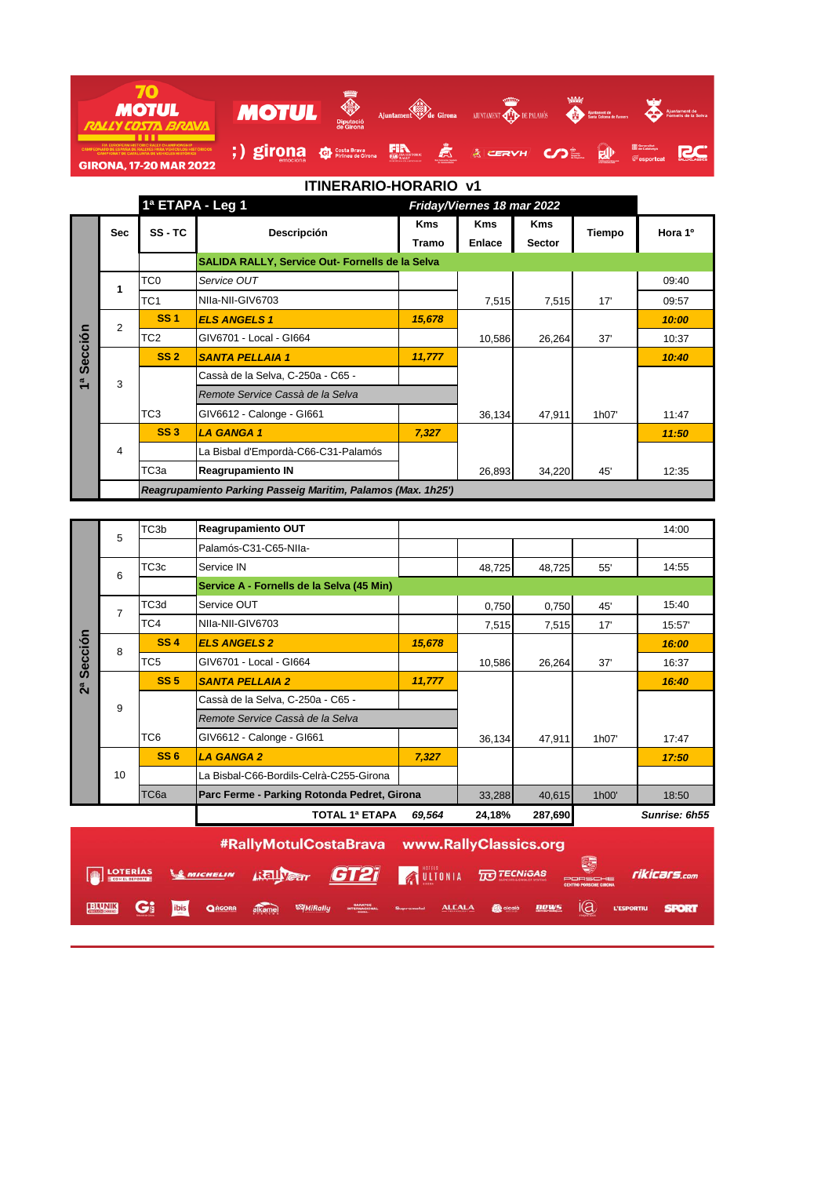| <b>MOTUL</b>                                                                                                                                                                                                |        | ₩<br>Diputació<br>de Girona      | Ajuntament de Girona          |                             | <b>KATHER</b><br>AJUNTAMENT <b>CHE DE PALAMÓS</b> | <b>WAA</b>  | Ajuntament de<br>Santa Coloma de Farners |                                                                 | Ajuntament de<br>Fornelis de la Selva |
|-------------------------------------------------------------------------------------------------------------------------------------------------------------------------------------------------------------|--------|----------------------------------|-------------------------------|-----------------------------|---------------------------------------------------|-------------|------------------------------------------|-----------------------------------------------------------------|---------------------------------------|
| <b>FIA EUROPEAN HISTORIC RALLY CHAMPIONSHIP</b><br><b>CAMPEONATO DE ESPAÑA DE RALLYES PARA VEHÍCULOS HISTÓRICOS</b><br><b>CAMPIONAT DE CATALUNYA DE VEHICLES HISTÒRICS</b><br><b>GIRONA, 17-20 MAR 2022</b> | girona | Costa Brava<br>Pirineu de Girona | <b>EXECUTE DE LA HISTORIC</b> | <b>La Francisco Tourist</b> | <b>ACERVH</b>                                     | <b>COLL</b> | $\mathbf{F}(\mathbf{r})$                 | <b>Seneralitat</b><br><b>Se Catalunya</b><br><b>E</b> esportcat |                                       |

|               | 1ª ETAPA - Leg 1 |                 |                                                              | Friday/Viernes 18 mar 2022 |            |               |        |         |
|---------------|------------------|-----------------|--------------------------------------------------------------|----------------------------|------------|---------------|--------|---------|
|               | <b>Sec</b>       | SS-TC           | <b>Descripción</b>                                           | <b>Kms</b>                 | <b>Kms</b> | <b>Kms</b>    | Tiempo | Hora 1º |
|               |                  |                 |                                                              | Tramo                      | Enlace     | <b>Sector</b> |        |         |
|               |                  |                 | SALIDA RALLY, Service Out- Fornells de la Selva              |                            |            |               |        |         |
|               | 1                | TC <sub>0</sub> | Service OUT                                                  |                            |            |               |        | 09:40   |
|               |                  | TC <sub>1</sub> | NIIa-NII-GIV6703                                             |                            | 7,515      | 7,515         | 17'    | 09:57   |
|               | $\overline{2}$   | <b>SS1</b>      | <b>ELS ANGELS 1</b>                                          | 15,678                     |            |               |        | 10:00   |
| Sección       |                  | TC <sub>2</sub> | GIV6701 - Local - GI664                                      |                            | 10,586     | 26,264        | 37'    | 10:37   |
|               |                  | SS <sub>2</sub> | <b>SANTA PELLAIA 1</b>                                       | 11,777                     |            |               |        | 10:40   |
| $\frac{a}{b}$ | 3                |                 | Cassà de la Selva, C-250a - C65 -                            |                            |            |               |        |         |
|               |                  |                 | Remote Service Cassà de la Selva                             |                            |            |               |        |         |
|               |                  | TC3             | GIV6612 - Calonge - GI661                                    |                            | 36,134     | 47,911        | 1h07'  | 11:47   |
|               |                  | <b>SS3</b>      | <b>LA GANGA1</b>                                             | 7,327                      |            |               |        | 11:50   |
|               | 4                |                 | La Bisbal d'Empordà-C66-C31-Palamós                          |                            |            |               |        |         |
|               |                  | ТСЗа            | <b>Reagrupamiento IN</b>                                     |                            | 26,893     | 34,220        | 45'    | 12:35   |
|               |                  |                 | Reagrupamiento Parking Passeig Maritim, Palamos (Max. 1h25') |                            |            |               |        |         |

|         | 5              | TC <sub>3</sub> b | Reagrupamiento OUT                          |        |        |         |       | 14:00         |
|---------|----------------|-------------------|---------------------------------------------|--------|--------|---------|-------|---------------|
|         |                |                   | Palamós-C31-C65-NIIa-                       |        |        |         |       |               |
|         | 6              | TC <sub>3c</sub>  | Service IN                                  |        | 48,725 | 48,725  | 55'   | 14:55         |
|         |                |                   | Service A - Fornells de la Selva (45 Min)   |        |        |         |       |               |
|         | $\overline{7}$ | TC3d              | Service OUT                                 |        | 0,750  | 0,750   | 45'   | 15:40         |
|         |                | TC4               | NIIa-NII-GIV6703                            |        | 7,515  | 7,515   | 17'   | 15:57         |
|         | 8              | <b>SS4</b>        | <b>ELS ANGELS 2</b>                         | 15,678 |        |         |       | 16:00         |
| Sección |                | TC <sub>5</sub>   | GIV6701 - Local - GI664                     |        | 10,586 | 26,264  | 37'   | 16:37         |
| ី       |                | SS <sub>5</sub>   | <b>SANTA PELLAIA 2</b>                      | 11,777 |        |         |       | 16:40         |
|         | 9              |                   | Cassà de la Selva, C-250a - C65 -           |        |        |         |       |               |
|         |                |                   | Remote Service Cassà de la Selva            |        |        |         |       |               |
|         |                | TC <sub>6</sub>   | GIV6612 - Calonge - GI661                   |        | 36,134 | 47,911  | 1h07' | 17:47         |
|         |                | SS6               | <b>LA GANGA 2</b>                           | 7,327  |        |         |       | 17:50         |
|         | 10             |                   | La Bisbal-C66-Bordils-Celrà-C255-Girona     |        |        |         |       |               |
|         |                | TC <sub>6a</sub>  | Parc Ferme - Parking Rotonda Pedret, Girona |        | 33,288 | 40,615  | 1h00' | 18:50         |
|         |                |                   | <b>TOTAL 1ª ETAPA</b>                       | 69,564 | 24,18% | 287,690 |       | Sunrise: 6h55 |

|               |    |      |               | #RallyMotulCostaBrava www.RallyClassics.org |                  |                          |  |  |                                                                                                    |  |                                                |  |              |
|---------------|----|------|---------------|---------------------------------------------|------------------|--------------------------|--|--|----------------------------------------------------------------------------------------------------|--|------------------------------------------------|--|--------------|
|               |    |      |               |                                             |                  |                          |  |  | STATISTICS SANCHELIN RELISION GTA SUITONIA TO TECNIGAS                                             |  | / 9<br>PORSCHE<br><b>CENTRO PORSCHE GIRONA</b> |  | rikicars.com |
| <b>BIUNIK</b> | Gi | ibis | <b>QAGORA</b> | alkamel                                     | <b>SAMIRally</b> | GARATGE<br>INTERNACIONAL |  |  | Supramotal <u>ALCALA</u> <b>Quelcolo News</b> $\overline{1}(\overline{Q})$ L'ESPORTIU <b>SPORT</b> |  |                                                |  |              |